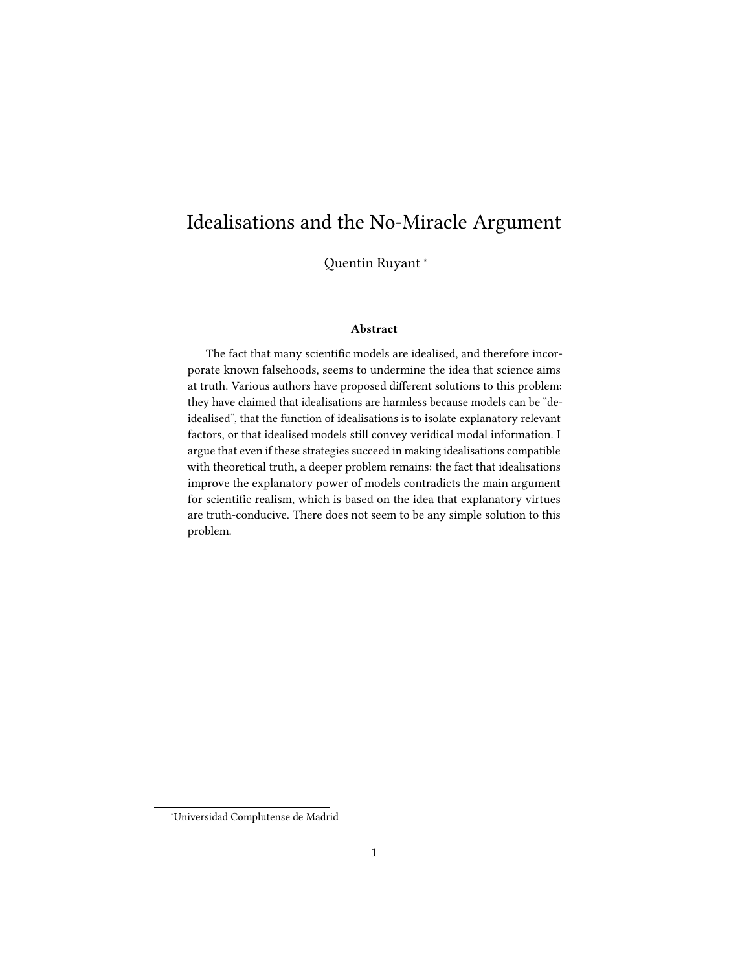# Idealisations and the No-Miracle Argument

Quentin Ruyant <sup>∗</sup>

#### Abstract

The fact that many scientific models are idealised, and therefore incorporate known falsehoods, seems to undermine the idea that science aims at truth. Various authors have proposed different solutions to this problem: they have claimed that idealisations are harmless because models can be "deidealised", that the function of idealisations is to isolate explanatory relevant factors, or that idealised models still convey veridical modal information. I argue that even if these strategies succeed in making idealisations compatible with theoretical truth, a deeper problem remains: the fact that idealisations improve the explanatory power of models contradicts the main argument for scientific realism, which is based on the idea that explanatory virtues are truth-conducive. There does not seem to be any simple solution to this problem.

<sup>∗</sup>Universidad Complutense de Madrid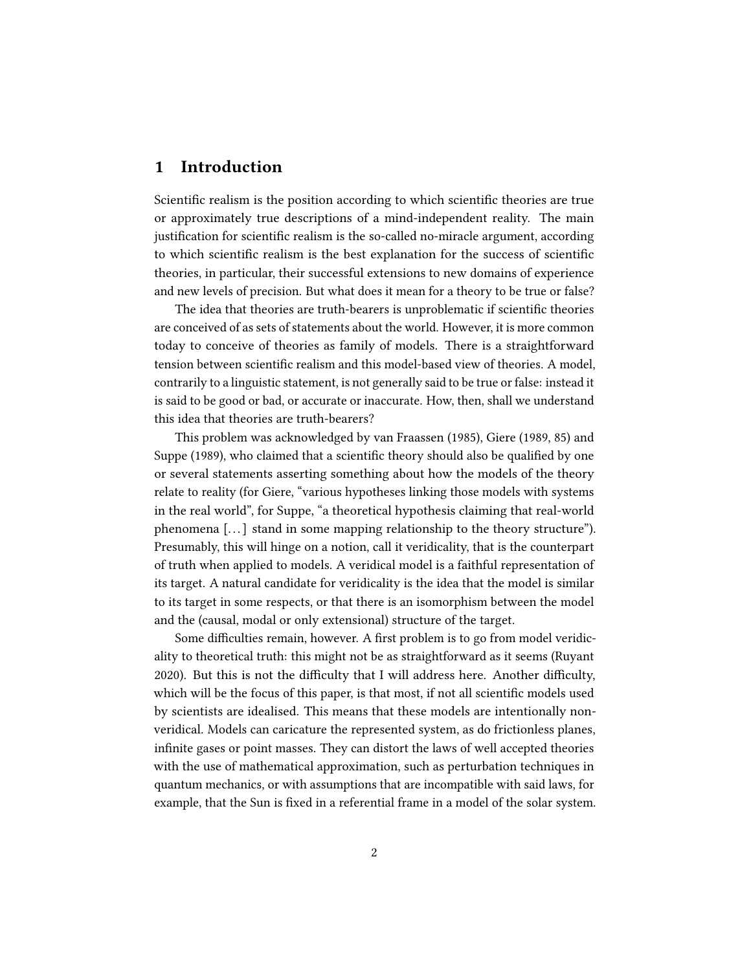## 1 Introduction

Scientific realism is the position according to which scientific theories are true or approximately true descriptions of a mind-independent reality. The main justification for scientific realism is the so-called no-miracle argument, according to which scientific realism is the best explanation for the success of scientific theories, in particular, their successful extensions to new domains of experience and new levels of precision. But what does it mean for a theory to be true or false?

The idea that theories are truth-bearers is unproblematic if scientific theories are conceived of as sets of statements about the world. However, it is more common today to conceive of theories as family of models. There is a straightforward tension between scientific realism and this model-based view of theories. A model, contrarily to a linguistic statement, is not generally said to be true or false: instead it is said to be good or bad, or accurate or inaccurate. How, then, shall we understand this idea that theories are truth-bearers?

This problem was acknowledged by van Fraassen (1985), Giere (1989, 85) and Suppe (1989), who claimed that a scientific theory should also be qualified by one or several statements asserting something about how the models of the theory relate to reality (for Giere, "various hypotheses linking those models with systems in the real world", for Suppe, "a theoretical hypothesis claiming that real-world phenomena [. . . ] stand in some mapping relationship to the theory structure"). Presumably, this will hinge on a notion, call it veridicality, that is the counterpart of truth when applied to models. A veridical model is a faithful representation of its target. A natural candidate for veridicality is the idea that the model is similar to its target in some respects, or that there is an isomorphism between the model and the (causal, modal or only extensional) structure of the target.

Some difficulties remain, however. A first problem is to go from model veridicality to theoretical truth: this might not be as straightforward as it seems (Ruyant 2020). But this is not the difficulty that I will address here. Another difficulty, which will be the focus of this paper, is that most, if not all scientific models used by scientists are idealised. This means that these models are intentionally nonveridical. Models can caricature the represented system, as do frictionless planes, infinite gases or point masses. They can distort the laws of well accepted theories with the use of mathematical approximation, such as perturbation techniques in quantum mechanics, or with assumptions that are incompatible with said laws, for example, that the Sun is fixed in a referential frame in a model of the solar system.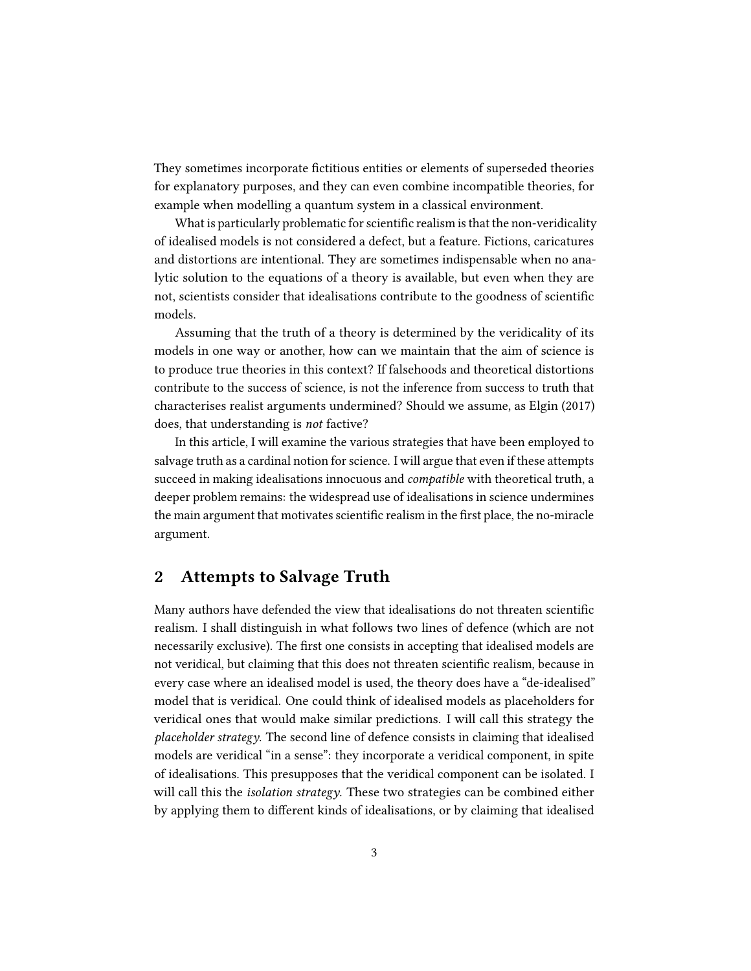They sometimes incorporate fictitious entities or elements of superseded theories for explanatory purposes, and they can even combine incompatible theories, for example when modelling a quantum system in a classical environment.

What is particularly problematic for scientific realism is that the non-veridicality of idealised models is not considered a defect, but a feature. Fictions, caricatures and distortions are intentional. They are sometimes indispensable when no analytic solution to the equations of a theory is available, but even when they are not, scientists consider that idealisations contribute to the goodness of scientific models.

Assuming that the truth of a theory is determined by the veridicality of its models in one way or another, how can we maintain that the aim of science is to produce true theories in this context? If falsehoods and theoretical distortions contribute to the success of science, is not the inference from success to truth that characterises realist arguments undermined? Should we assume, as Elgin (2017) does, that understanding is not factive?

In this article, I will examine the various strategies that have been employed to salvage truth as a cardinal notion for science. I will argue that even if these attempts succeed in making idealisations innocuous and *compatible* with theoretical truth, a deeper problem remains: the widespread use of idealisations in science undermines the main argument that motivates scientific realism in the first place, the no-miracle argument.

#### 2 Attempts to Salvage Truth

Many authors have defended the view that idealisations do not threaten scientific realism. I shall distinguish in what follows two lines of defence (which are not necessarily exclusive). The first one consists in accepting that idealised models are not veridical, but claiming that this does not threaten scientific realism, because in every case where an idealised model is used, the theory does have a "de-idealised" model that is veridical. One could think of idealised models as placeholders for veridical ones that would make similar predictions. I will call this strategy the  $placeholder strategy$ . The second line of defence consists in claiming that idealised models are veridical "in a sense": they incorporate a veridical component, in spite of idealisations. This presupposes that the veridical component can be isolated. I will call this the *isolation strategy*. These two strategies can be combined either by applying them to different kinds of idealisations, or by claiming that idealised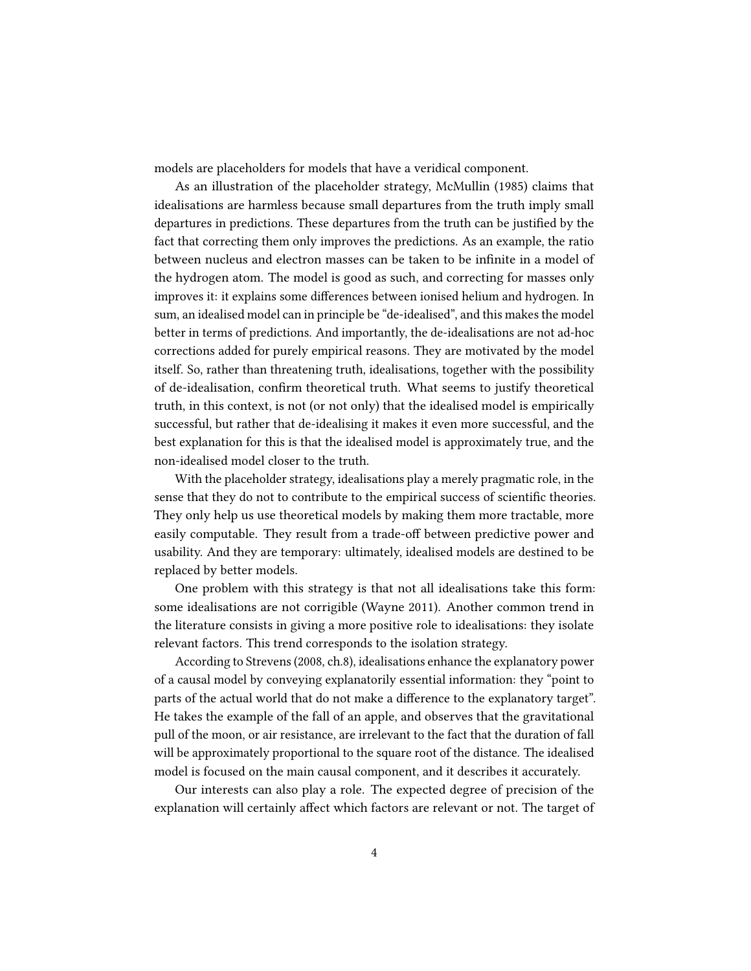models are placeholders for models that have a veridical component.

As an illustration of the placeholder strategy, McMullin (1985) claims that idealisations are harmless because small departures from the truth imply small departures in predictions. These departures from the truth can be justified by the fact that correcting them only improves the predictions. As an example, the ratio between nucleus and electron masses can be taken to be infinite in a model of the hydrogen atom. The model is good as such, and correcting for masses only improves it: it explains some differences between ionised helium and hydrogen. In sum, an idealised model can in principle be "de-idealised", and this makes the model better in terms of predictions. And importantly, the de-idealisations are not ad-hoc corrections added for purely empirical reasons. They are motivated by the model itself. So, rather than threatening truth, idealisations, together with the possibility of de-idealisation, confirm theoretical truth. What seems to justify theoretical truth, in this context, is not (or not only) that the idealised model is empirically successful, but rather that de-idealising it makes it even more successful, and the best explanation for this is that the idealised model is approximately true, and the non-idealised model closer to the truth.

With the placeholder strategy, idealisations play a merely pragmatic role, in the sense that they do not to contribute to the empirical success of scientific theories. They only help us use theoretical models by making them more tractable, more easily computable. They result from a trade-off between predictive power and usability. And they are temporary: ultimately, idealised models are destined to be replaced by better models.

One problem with this strategy is that not all idealisations take this form: some idealisations are not corrigible (Wayne 2011). Another common trend in the literature consists in giving a more positive role to idealisations: they isolate relevant factors. This trend corresponds to the isolation strategy.

According to Strevens (2008, ch.8), idealisations enhance the explanatory power of a causal model by conveying explanatorily essential information: they "point to parts of the actual world that do not make a difference to the explanatory target". He takes the example of the fall of an apple, and observes that the gravitational pull of the moon, or air resistance, are irrelevant to the fact that the duration of fall will be approximately proportional to the square root of the distance. The idealised model is focused on the main causal component, and it describes it accurately.

Our interests can also play a role. The expected degree of precision of the explanation will certainly affect which factors are relevant or not. The target of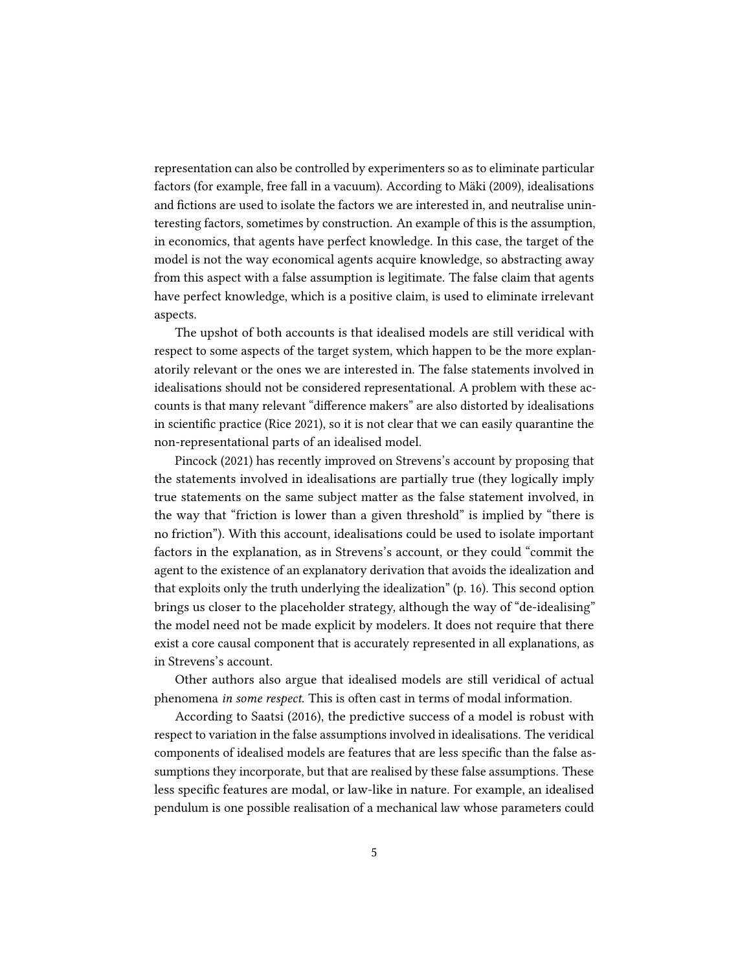representation can also be controlled by experimenters so as to eliminate particular factors (for example, free fall in a vacuum). According to Mäki (2009), idealisations and fictions are used to isolate the factors we are interested in, and neutralise uninteresting factors, sometimes by construction. An example of this is the assumption, in economics, that agents have perfect knowledge. In this case, the target of the model is not the way economical agents acquire knowledge, so abstracting away from this aspect with a false assumption is legitimate. The false claim that agents have perfect knowledge, which is a positive claim, is used to eliminate irrelevant aspects.

The upshot of both accounts is that idealised models are still veridical with respect to some aspects of the target system, which happen to be the more explanatorily relevant or the ones we are interested in. The false statements involved in idealisations should not be considered representational. A problem with these accounts is that many relevant "difference makers" are also distorted by idealisations in scientific practice (Rice 2021), so it is not clear that we can easily quarantine the non-representational parts of an idealised model.

Pincock (2021) has recently improved on Strevens's account by proposing that the statements involved in idealisations are partially true (they logically imply true statements on the same subject matter as the false statement involved, in the way that "friction is lower than a given threshold" is implied by "there is no friction"). With this account, idealisations could be used to isolate important factors in the explanation, as in Strevens's account, or they could "commit the agent to the existence of an explanatory derivation that avoids the idealization and that exploits only the truth underlying the idealization" (p. 16). This second option brings us closer to the placeholder strategy, although the way of "de-idealising" the model need not be made explicit by modelers. It does not require that there exist a core causal component that is accurately represented in all explanations, as in Strevens's account.

Other authors also argue that idealised models are still veridical of actual phenomena in some respect. This is often cast in terms of modal information.

According to Saatsi (2016), the predictive success of a model is robust with respect to variation in the false assumptions involved in idealisations. The veridical components of idealised models are features that are less specific than the false assumptions they incorporate, but that are realised by these false assumptions. These less specific features are modal, or law-like in nature. For example, an idealised pendulum is one possible realisation of a mechanical law whose parameters could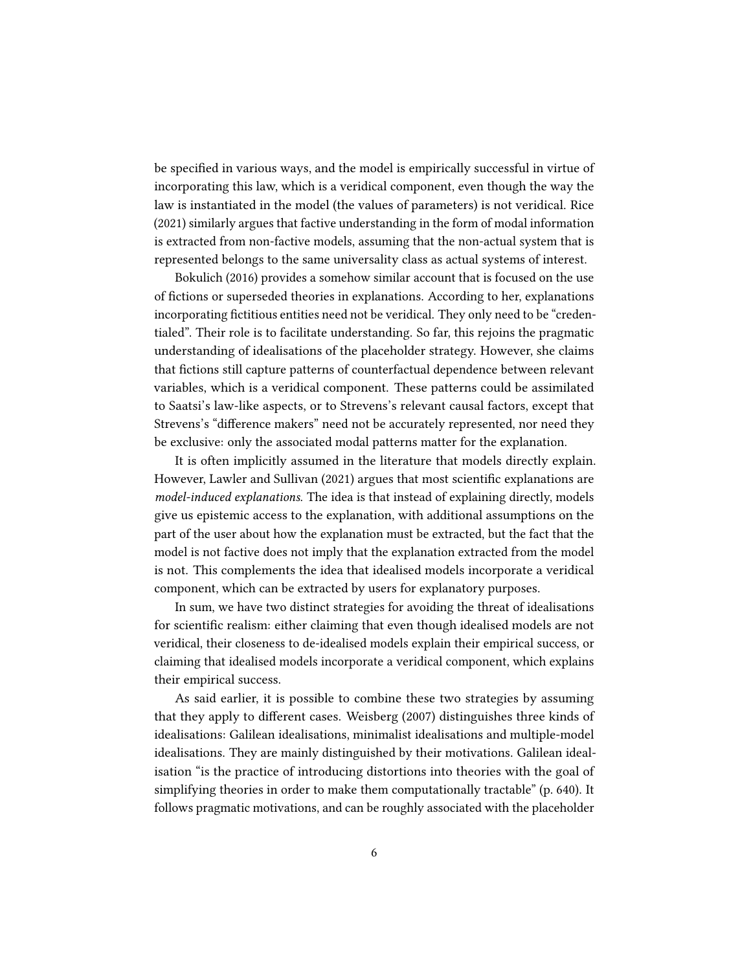be specified in various ways, and the model is empirically successful in virtue of incorporating this law, which is a veridical component, even though the way the law is instantiated in the model (the values of parameters) is not veridical. Rice (2021) similarly argues that factive understanding in the form of modal information is extracted from non-factive models, assuming that the non-actual system that is represented belongs to the same universality class as actual systems of interest.

Bokulich (2016) provides a somehow similar account that is focused on the use of fictions or superseded theories in explanations. According to her, explanations incorporating fictitious entities need not be veridical. They only need to be "credentialed". Their role is to facilitate understanding. So far, this rejoins the pragmatic understanding of idealisations of the placeholder strategy. However, she claims that fictions still capture patterns of counterfactual dependence between relevant variables, which is a veridical component. These patterns could be assimilated to Saatsi's law-like aspects, or to Strevens's relevant causal factors, except that Strevens's "difference makers" need not be accurately represented, nor need they be exclusive: only the associated modal patterns matter for the explanation.

It is often implicitly assumed in the literature that models directly explain. However, Lawler and Sullivan (2021) argues that most scientific explanations are model-induced explanations. The idea is that instead of explaining directly, models give us epistemic access to the explanation, with additional assumptions on the part of the user about how the explanation must be extracted, but the fact that the model is not factive does not imply that the explanation extracted from the model is not. This complements the idea that idealised models incorporate a veridical component, which can be extracted by users for explanatory purposes.

In sum, we have two distinct strategies for avoiding the threat of idealisations for scientific realism: either claiming that even though idealised models are not veridical, their closeness to de-idealised models explain their empirical success, or claiming that idealised models incorporate a veridical component, which explains their empirical success.

As said earlier, it is possible to combine these two strategies by assuming that they apply to different cases. Weisberg (2007) distinguishes three kinds of idealisations: Galilean idealisations, minimalist idealisations and multiple-model idealisations. They are mainly distinguished by their motivations. Galilean idealisation "is the practice of introducing distortions into theories with the goal of simplifying theories in order to make them computationally tractable" (p. 640). It follows pragmatic motivations, and can be roughly associated with the placeholder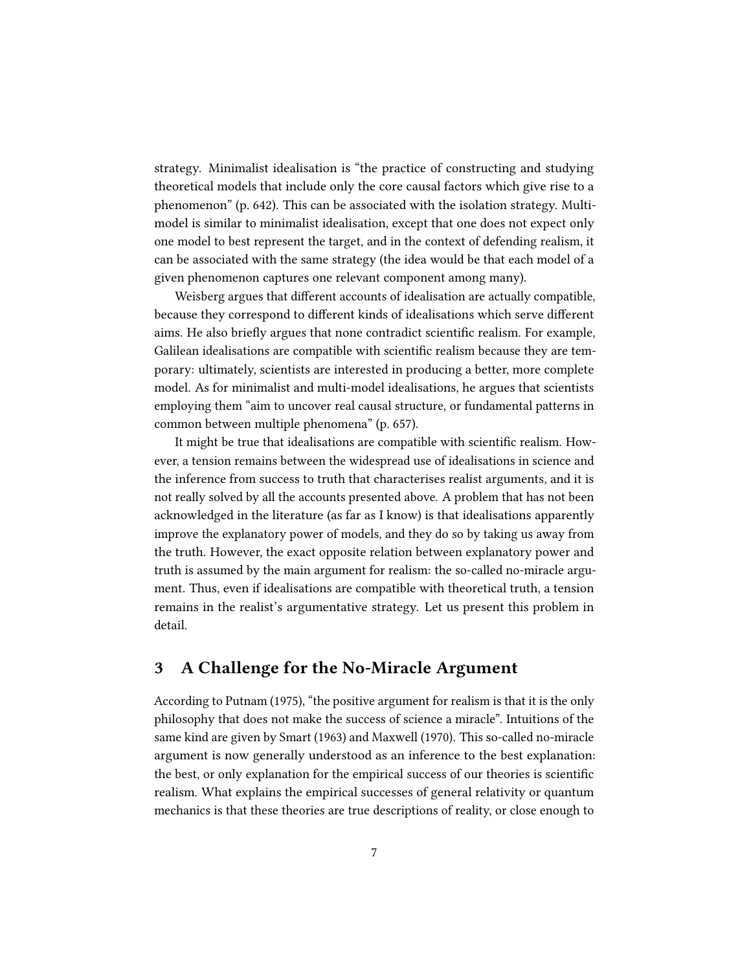strategy. Minimalist idealisation is "the practice of constructing and studying theoretical models that include only the core causal factors which give rise to a phenomenon" (p. 642). This can be associated with the isolation strategy. Multimodel is similar to minimalist idealisation, except that one does not expect only one model to best represent the target, and in the context of defending realism, it can be associated with the same strategy (the idea would be that each model of a given phenomenon captures one relevant component among many).

Weisberg argues that different accounts of idealisation are actually compatible, because they correspond to different kinds of idealisations which serve different aims. He also briefly argues that none contradict scientific realism. For example, Galilean idealisations are compatible with scientific realism because they are temporary: ultimately, scientists are interested in producing a better, more complete model. As for minimalist and multi-model idealisations, he argues that scientists employing them "aim to uncover real causal structure, or fundamental patterns in common between multiple phenomena" (p. 657).

It might be true that idealisations are compatible with scientific realism. However, a tension remains between the widespread use of idealisations in science and the inference from success to truth that characterises realist arguments, and it is not really solved by all the accounts presented above. A problem that has not been acknowledged in the literature (as far as I know) is that idealisations apparently improve the explanatory power of models, and they do so by taking us away from the truth. However, the exact opposite relation between explanatory power and truth is assumed by the main argument for realism: the so-called no-miracle argument. Thus, even if idealisations are compatible with theoretical truth, a tension remains in the realist's argumentative strategy. Let us present this problem in detail.

#### 3 A Challenge for the No-Miracle Argument

According to Putnam (1975), "the positive argument for realism is that it is the only philosophy that does not make the success of science a miracle". Intuitions of the same kind are given by Smart (1963) and Maxwell (1970). This so-called no-miracle argument is now generally understood as an inference to the best explanation: the best, or only explanation for the empirical success of our theories is scientific realism. What explains the empirical successes of general relativity or quantum mechanics is that these theories are true descriptions of reality, or close enough to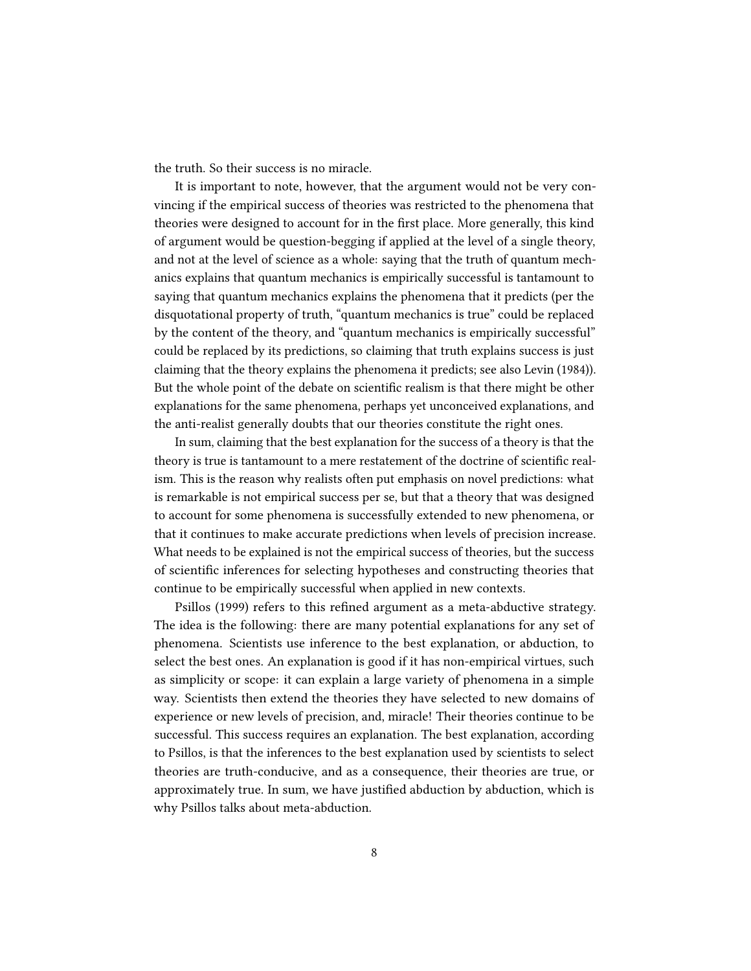the truth. So their success is no miracle.

It is important to note, however, that the argument would not be very convincing if the empirical success of theories was restricted to the phenomena that theories were designed to account for in the first place. More generally, this kind of argument would be question-begging if applied at the level of a single theory, and not at the level of science as a whole: saying that the truth of quantum mechanics explains that quantum mechanics is empirically successful is tantamount to saying that quantum mechanics explains the phenomena that it predicts (per the disquotational property of truth, "quantum mechanics is true" could be replaced by the content of the theory, and "quantum mechanics is empirically successful" could be replaced by its predictions, so claiming that truth explains success is just claiming that the theory explains the phenomena it predicts; see also Levin (1984)). But the whole point of the debate on scientific realism is that there might be other explanations for the same phenomena, perhaps yet unconceived explanations, and the anti-realist generally doubts that our theories constitute the right ones.

In sum, claiming that the best explanation for the success of a theory is that the theory is true is tantamount to a mere restatement of the doctrine of scientific realism. This is the reason why realists often put emphasis on novel predictions: what is remarkable is not empirical success per se, but that a theory that was designed to account for some phenomena is successfully extended to new phenomena, or that it continues to make accurate predictions when levels of precision increase. What needs to be explained is not the empirical success of theories, but the success of scientific inferences for selecting hypotheses and constructing theories that continue to be empirically successful when applied in new contexts.

Psillos (1999) refers to this refined argument as a meta-abductive strategy. The idea is the following: there are many potential explanations for any set of phenomena. Scientists use inference to the best explanation, or abduction, to select the best ones. An explanation is good if it has non-empirical virtues, such as simplicity or scope: it can explain a large variety of phenomena in a simple way. Scientists then extend the theories they have selected to new domains of experience or new levels of precision, and, miracle! Their theories continue to be successful. This success requires an explanation. The best explanation, according to Psillos, is that the inferences to the best explanation used by scientists to select theories are truth-conducive, and as a consequence, their theories are true, or approximately true. In sum, we have justified abduction by abduction, which is why Psillos talks about meta-abduction.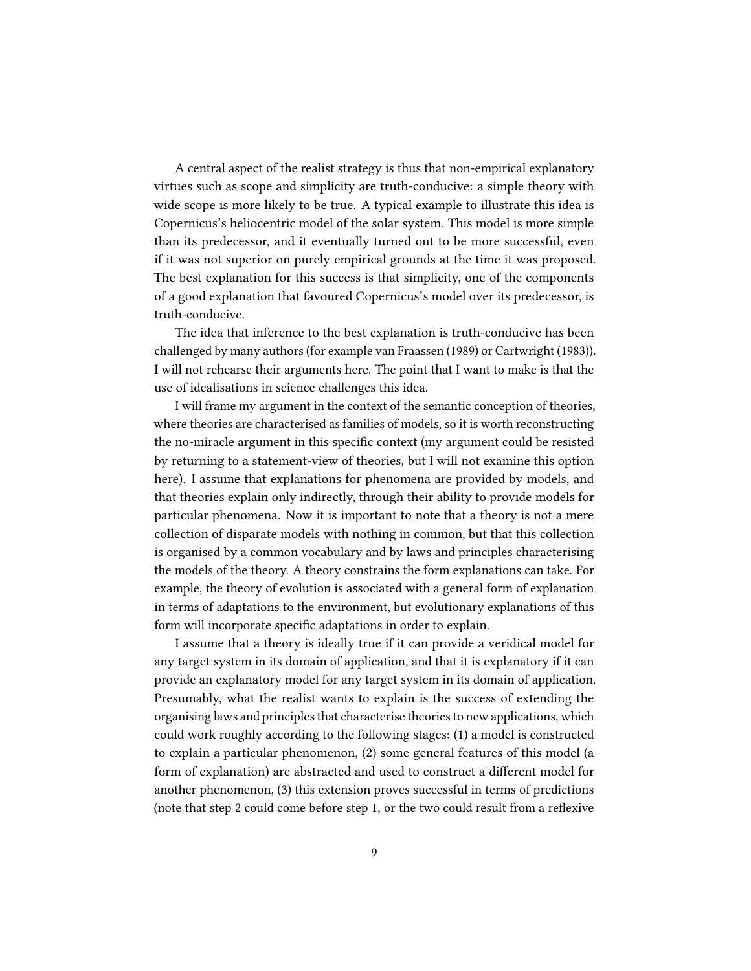A central aspect of the realist strategy is thus that non-empirical explanatory virtues such as scope and simplicity are truth-conducive: a simple theory with wide scope is more likely to be true. A typical example to illustrate this idea is Copernicus's heliocentric model of the solar system. This model is more simple than its predecessor, and it eventually turned out to be more successful, even if it was not superior on purely empirical grounds at the time it was proposed. The best explanation for this success is that simplicity, one of the components of a good explanation that favoured Copernicus's model over its predecessor, is truth-conducive.

The idea that inference to the best explanation is truth-conducive has been challenged by many authors (for example van Fraassen (1989) or Cartwright (1983)). I will not rehearse their arguments here. The point that I want to make is that the use of idealisations in science challenges this idea.

I will frame my argument in the context of the semantic conception of theories, where theories are characterised as families of models, so it is worth reconstructing the no-miracle argument in this specific context (my argument could be resisted by returning to a statement-view of theories, but I will not examine this option here). I assume that explanations for phenomena are provided by models, and that theories explain only indirectly, through their ability to provide models for particular phenomena. Now it is important to note that a theory is not a mere collection of disparate models with nothing in common, but that this collection is organised by a common vocabulary and by laws and principles characterising the models of the theory. A theory constrains the form explanations can take. For example, the theory of evolution is associated with a general form of explanation in terms of adaptations to the environment, but evolutionary explanations of this form will incorporate specific adaptations in order to explain.

I assume that a theory is ideally true if it can provide a veridical model for any target system in its domain of application, and that it is explanatory if it can provide an explanatory model for any target system in its domain of application. Presumably, what the realist wants to explain is the success of extending the organising laws and principles that characterise theories to new applications, which could work roughly according to the following stages: (1) a model is constructed to explain a particular phenomenon, (2) some general features of this model (a form of explanation) are abstracted and used to construct a different model for another phenomenon, (3) this extension proves successful in terms of predictions (note that step 2 could come before step 1, or the two could result from a reflexive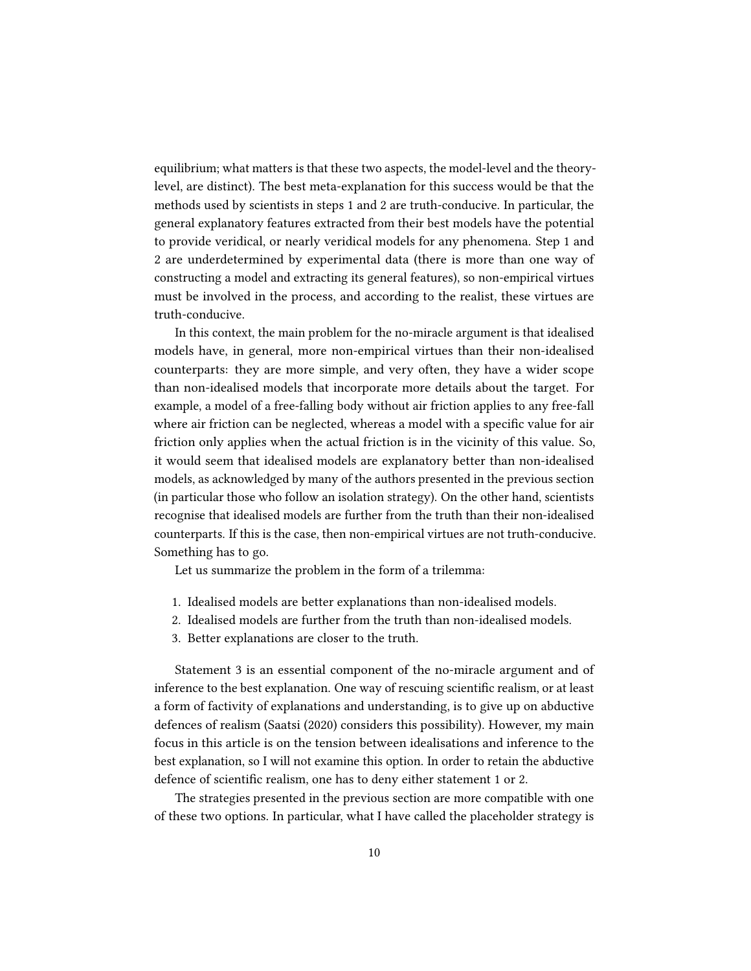equilibrium; what matters is that these two aspects, the model-level and the theorylevel, are distinct). The best meta-explanation for this success would be that the methods used by scientists in steps 1 and 2 are truth-conducive. In particular, the general explanatory features extracted from their best models have the potential to provide veridical, or nearly veridical models for any phenomena. Step 1 and 2 are underdetermined by experimental data (there is more than one way of constructing a model and extracting its general features), so non-empirical virtues must be involved in the process, and according to the realist, these virtues are truth-conducive.

In this context, the main problem for the no-miracle argument is that idealised models have, in general, more non-empirical virtues than their non-idealised counterparts: they are more simple, and very often, they have a wider scope than non-idealised models that incorporate more details about the target. For example, a model of a free-falling body without air friction applies to any free-fall where air friction can be neglected, whereas a model with a specific value for air friction only applies when the actual friction is in the vicinity of this value. So, it would seem that idealised models are explanatory better than non-idealised models, as acknowledged by many of the authors presented in the previous section (in particular those who follow an isolation strategy). On the other hand, scientists recognise that idealised models are further from the truth than their non-idealised counterparts. If this is the case, then non-empirical virtues are not truth-conducive. Something has to go.

Let us summarize the problem in the form of a trilemma:

- 1. Idealised models are better explanations than non-idealised models.
- 2. Idealised models are further from the truth than non-idealised models.
- 3. Better explanations are closer to the truth.

Statement 3 is an essential component of the no-miracle argument and of inference to the best explanation. One way of rescuing scientific realism, or at least a form of factivity of explanations and understanding, is to give up on abductive defences of realism (Saatsi (2020) considers this possibility). However, my main focus in this article is on the tension between idealisations and inference to the best explanation, so I will not examine this option. In order to retain the abductive defence of scientific realism, one has to deny either statement 1 or 2.

The strategies presented in the previous section are more compatible with one of these two options. In particular, what I have called the placeholder strategy is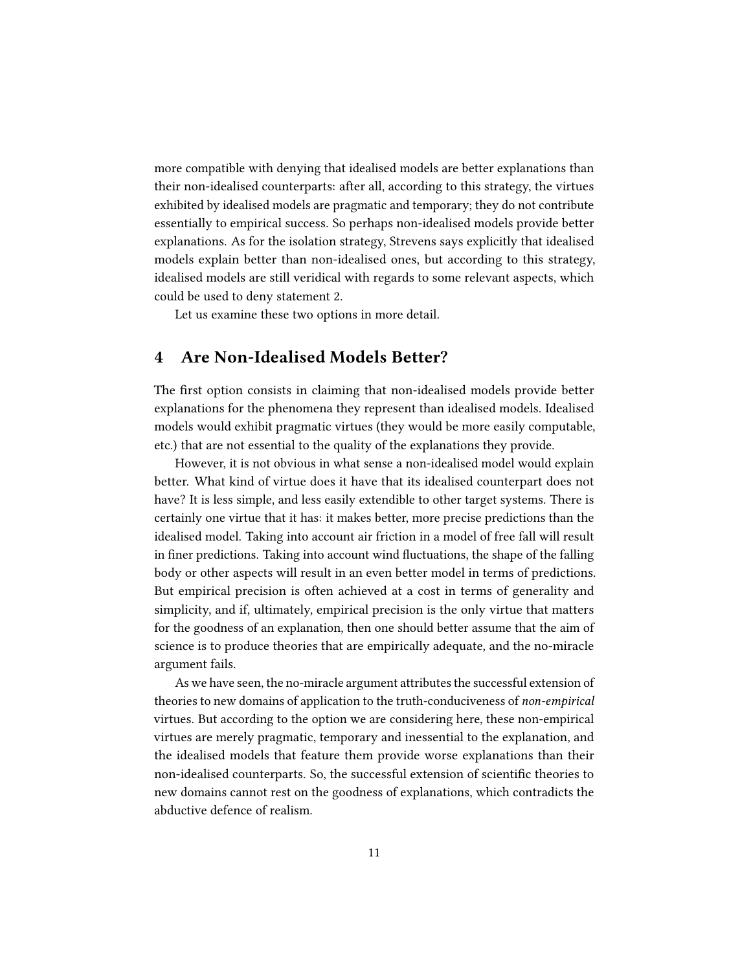more compatible with denying that idealised models are better explanations than their non-idealised counterparts: after all, according to this strategy, the virtues exhibited by idealised models are pragmatic and temporary; they do not contribute essentially to empirical success. So perhaps non-idealised models provide better explanations. As for the isolation strategy, Strevens says explicitly that idealised models explain better than non-idealised ones, but according to this strategy, idealised models are still veridical with regards to some relevant aspects, which could be used to deny statement 2.

Let us examine these two options in more detail.

#### 4 Are Non-Idealised Models Better?

The first option consists in claiming that non-idealised models provide better explanations for the phenomena they represent than idealised models. Idealised models would exhibit pragmatic virtues (they would be more easily computable, etc.) that are not essential to the quality of the explanations they provide.

However, it is not obvious in what sense a non-idealised model would explain better. What kind of virtue does it have that its idealised counterpart does not have? It is less simple, and less easily extendible to other target systems. There is certainly one virtue that it has: it makes better, more precise predictions than the idealised model. Taking into account air friction in a model of free fall will result in finer predictions. Taking into account wind fluctuations, the shape of the falling body or other aspects will result in an even better model in terms of predictions. But empirical precision is often achieved at a cost in terms of generality and simplicity, and if, ultimately, empirical precision is the only virtue that matters for the goodness of an explanation, then one should better assume that the aim of science is to produce theories that are empirically adequate, and the no-miracle argument fails.

As we have seen, the no-miracle argument attributes the successful extension of theories to new domains of application to the truth-conduciveness of non-empirical virtues. But according to the option we are considering here, these non-empirical virtues are merely pragmatic, temporary and inessential to the explanation, and the idealised models that feature them provide worse explanations than their non-idealised counterparts. So, the successful extension of scientific theories to new domains cannot rest on the goodness of explanations, which contradicts the abductive defence of realism.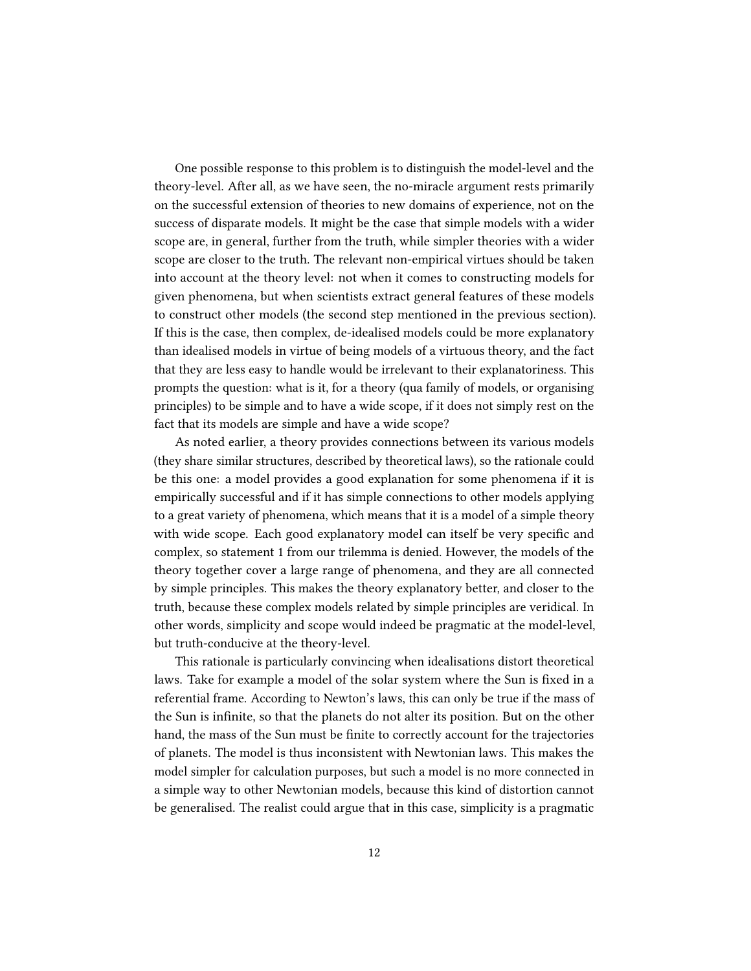One possible response to this problem is to distinguish the model-level and the theory-level. After all, as we have seen, the no-miracle argument rests primarily on the successful extension of theories to new domains of experience, not on the success of disparate models. It might be the case that simple models with a wider scope are, in general, further from the truth, while simpler theories with a wider scope are closer to the truth. The relevant non-empirical virtues should be taken into account at the theory level: not when it comes to constructing models for given phenomena, but when scientists extract general features of these models to construct other models (the second step mentioned in the previous section). If this is the case, then complex, de-idealised models could be more explanatory than idealised models in virtue of being models of a virtuous theory, and the fact that they are less easy to handle would be irrelevant to their explanatoriness. This prompts the question: what is it, for a theory (qua family of models, or organising principles) to be simple and to have a wide scope, if it does not simply rest on the fact that its models are simple and have a wide scope?

As noted earlier, a theory provides connections between its various models (they share similar structures, described by theoretical laws), so the rationale could be this one: a model provides a good explanation for some phenomena if it is empirically successful and if it has simple connections to other models applying to a great variety of phenomena, which means that it is a model of a simple theory with wide scope. Each good explanatory model can itself be very specific and complex, so statement 1 from our trilemma is denied. However, the models of the theory together cover a large range of phenomena, and they are all connected by simple principles. This makes the theory explanatory better, and closer to the truth, because these complex models related by simple principles are veridical. In other words, simplicity and scope would indeed be pragmatic at the model-level, but truth-conducive at the theory-level.

This rationale is particularly convincing when idealisations distort theoretical laws. Take for example a model of the solar system where the Sun is fixed in a referential frame. According to Newton's laws, this can only be true if the mass of the Sun is infinite, so that the planets do not alter its position. But on the other hand, the mass of the Sun must be finite to correctly account for the trajectories of planets. The model is thus inconsistent with Newtonian laws. This makes the model simpler for calculation purposes, but such a model is no more connected in a simple way to other Newtonian models, because this kind of distortion cannot be generalised. The realist could argue that in this case, simplicity is a pragmatic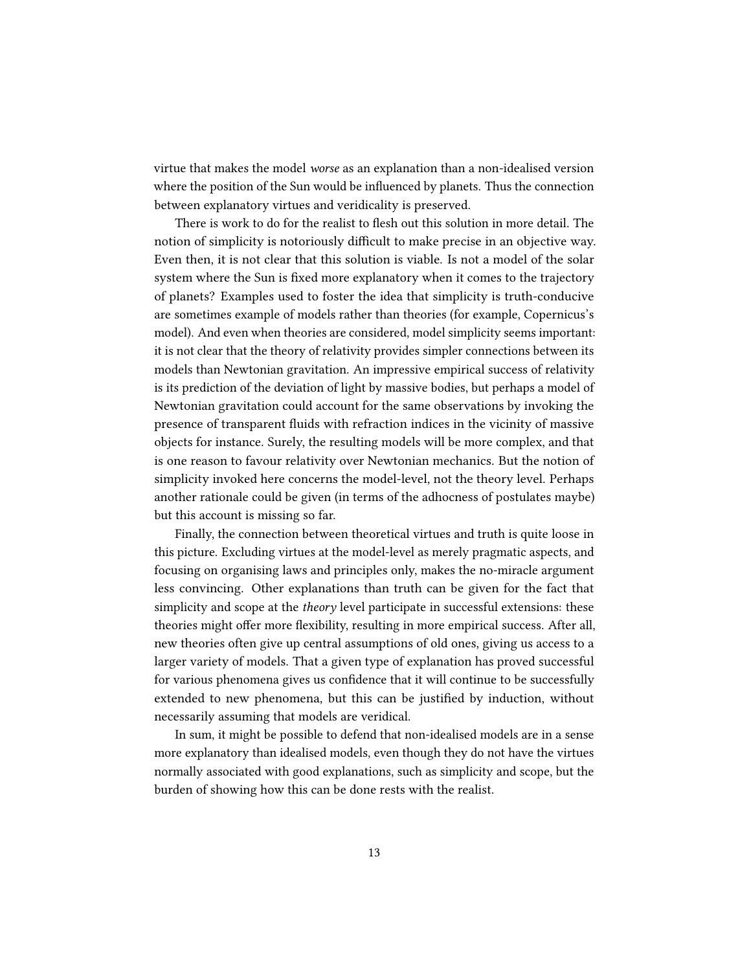virtue that makes the model worse as an explanation than a non-idealised version where the position of the Sun would be influenced by planets. Thus the connection between explanatory virtues and veridicality is preserved.

There is work to do for the realist to flesh out this solution in more detail. The notion of simplicity is notoriously difficult to make precise in an objective way. Even then, it is not clear that this solution is viable. Is not a model of the solar system where the Sun is fixed more explanatory when it comes to the trajectory of planets? Examples used to foster the idea that simplicity is truth-conducive are sometimes example of models rather than theories (for example, Copernicus's model). And even when theories are considered, model simplicity seems important: it is not clear that the theory of relativity provides simpler connections between its models than Newtonian gravitation. An impressive empirical success of relativity is its prediction of the deviation of light by massive bodies, but perhaps a model of Newtonian gravitation could account for the same observations by invoking the presence of transparent fluids with refraction indices in the vicinity of massive objects for instance. Surely, the resulting models will be more complex, and that is one reason to favour relativity over Newtonian mechanics. But the notion of simplicity invoked here concerns the model-level, not the theory level. Perhaps another rationale could be given (in terms of the adhocness of postulates maybe) but this account is missing so far.

Finally, the connection between theoretical virtues and truth is quite loose in this picture. Excluding virtues at the model-level as merely pragmatic aspects, and focusing on organising laws and principles only, makes the no-miracle argument less convincing. Other explanations than truth can be given for the fact that simplicity and scope at the theory level participate in successful extensions: these theories might offer more flexibility, resulting in more empirical success. After all, new theories often give up central assumptions of old ones, giving us access to a larger variety of models. That a given type of explanation has proved successful for various phenomena gives us confidence that it will continue to be successfully extended to new phenomena, but this can be justified by induction, without necessarily assuming that models are veridical.

In sum, it might be possible to defend that non-idealised models are in a sense more explanatory than idealised models, even though they do not have the virtues normally associated with good explanations, such as simplicity and scope, but the burden of showing how this can be done rests with the realist.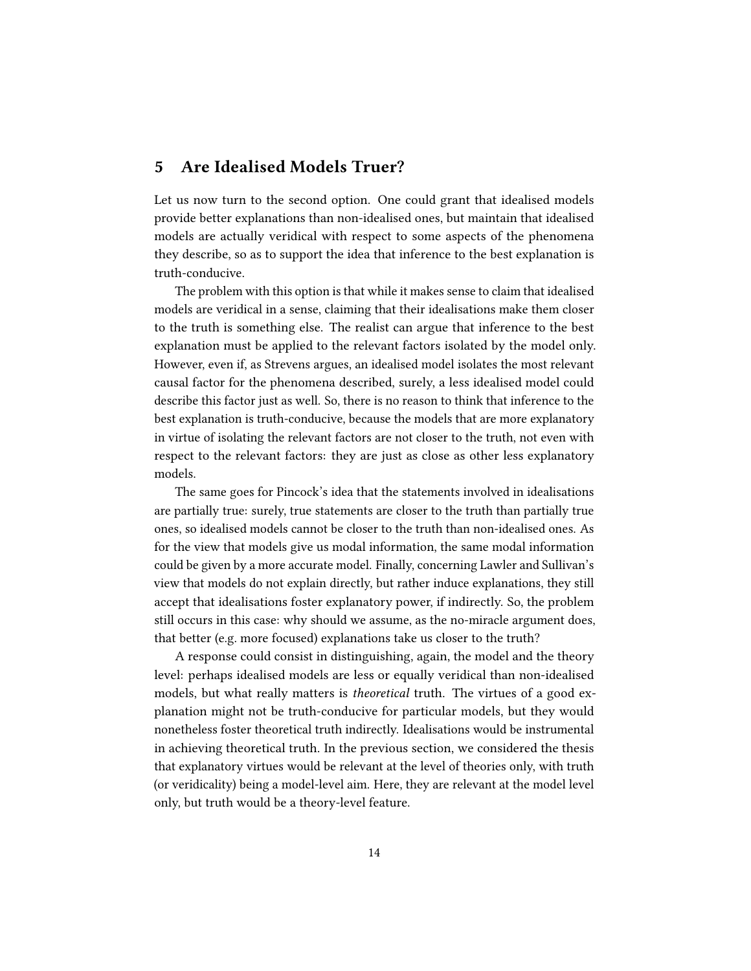### 5 Are Idealised Models Truer?

Let us now turn to the second option. One could grant that idealised models provide better explanations than non-idealised ones, but maintain that idealised models are actually veridical with respect to some aspects of the phenomena they describe, so as to support the idea that inference to the best explanation is truth-conducive.

The problem with this option is that while it makes sense to claim that idealised models are veridical in a sense, claiming that their idealisations make them closer to the truth is something else. The realist can argue that inference to the best explanation must be applied to the relevant factors isolated by the model only. However, even if, as Strevens argues, an idealised model isolates the most relevant causal factor for the phenomena described, surely, a less idealised model could describe this factor just as well. So, there is no reason to think that inference to the best explanation is truth-conducive, because the models that are more explanatory in virtue of isolating the relevant factors are not closer to the truth, not even with respect to the relevant factors: they are just as close as other less explanatory models.

The same goes for Pincock's idea that the statements involved in idealisations are partially true: surely, true statements are closer to the truth than partially true ones, so idealised models cannot be closer to the truth than non-idealised ones. As for the view that models give us modal information, the same modal information could be given by a more accurate model. Finally, concerning Lawler and Sullivan's view that models do not explain directly, but rather induce explanations, they still accept that idealisations foster explanatory power, if indirectly. So, the problem still occurs in this case: why should we assume, as the no-miracle argument does, that better (e.g. more focused) explanations take us closer to the truth?

A response could consist in distinguishing, again, the model and the theory level: perhaps idealised models are less or equally veridical than non-idealised models, but what really matters is *theoretical* truth. The virtues of a good explanation might not be truth-conducive for particular models, but they would nonetheless foster theoretical truth indirectly. Idealisations would be instrumental in achieving theoretical truth. In the previous section, we considered the thesis that explanatory virtues would be relevant at the level of theories only, with truth (or veridicality) being a model-level aim. Here, they are relevant at the model level only, but truth would be a theory-level feature.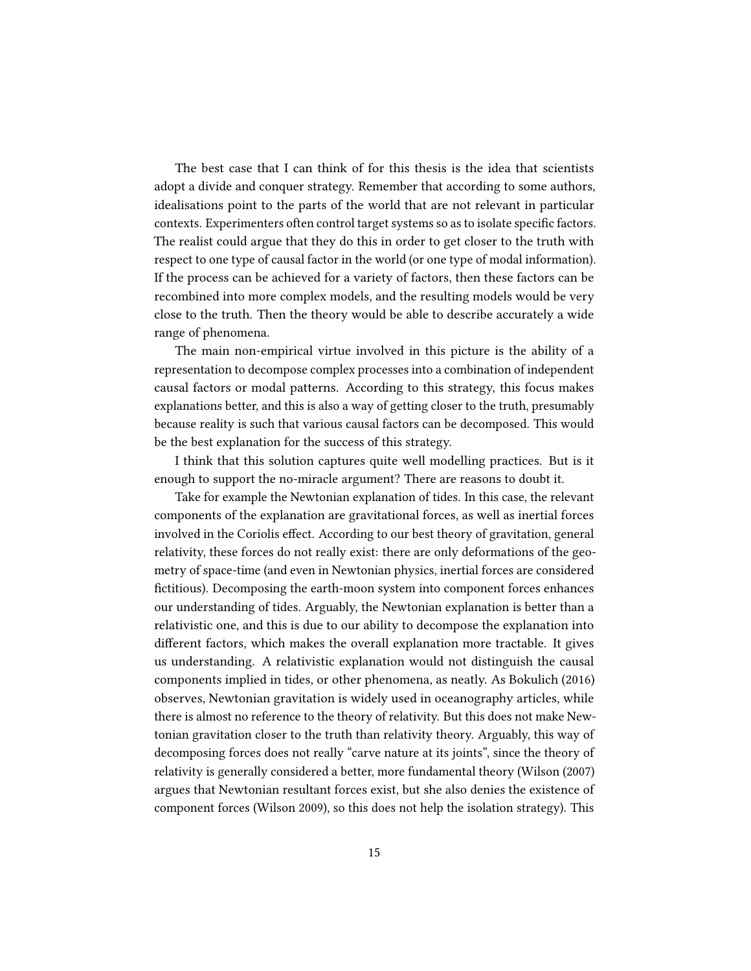The best case that I can think of for this thesis is the idea that scientists adopt a divide and conquer strategy. Remember that according to some authors, idealisations point to the parts of the world that are not relevant in particular contexts. Experimenters often control target systems so as to isolate specific factors. The realist could argue that they do this in order to get closer to the truth with respect to one type of causal factor in the world (or one type of modal information). If the process can be achieved for a variety of factors, then these factors can be recombined into more complex models, and the resulting models would be very close to the truth. Then the theory would be able to describe accurately a wide range of phenomena.

The main non-empirical virtue involved in this picture is the ability of a representation to decompose complex processes into a combination of independent causal factors or modal patterns. According to this strategy, this focus makes explanations better, and this is also a way of getting closer to the truth, presumably because reality is such that various causal factors can be decomposed. This would be the best explanation for the success of this strategy.

I think that this solution captures quite well modelling practices. But is it enough to support the no-miracle argument? There are reasons to doubt it.

Take for example the Newtonian explanation of tides. In this case, the relevant components of the explanation are gravitational forces, as well as inertial forces involved in the Coriolis effect. According to our best theory of gravitation, general relativity, these forces do not really exist: there are only deformations of the geometry of space-time (and even in Newtonian physics, inertial forces are considered fictitious). Decomposing the earth-moon system into component forces enhances our understanding of tides. Arguably, the Newtonian explanation is better than a relativistic one, and this is due to our ability to decompose the explanation into different factors, which makes the overall explanation more tractable. It gives us understanding. A relativistic explanation would not distinguish the causal components implied in tides, or other phenomena, as neatly. As Bokulich (2016) observes, Newtonian gravitation is widely used in oceanography articles, while there is almost no reference to the theory of relativity. But this does not make Newtonian gravitation closer to the truth than relativity theory. Arguably, this way of decomposing forces does not really "carve nature at its joints", since the theory of relativity is generally considered a better, more fundamental theory (Wilson (2007) argues that Newtonian resultant forces exist, but she also denies the existence of component forces (Wilson 2009), so this does not help the isolation strategy). This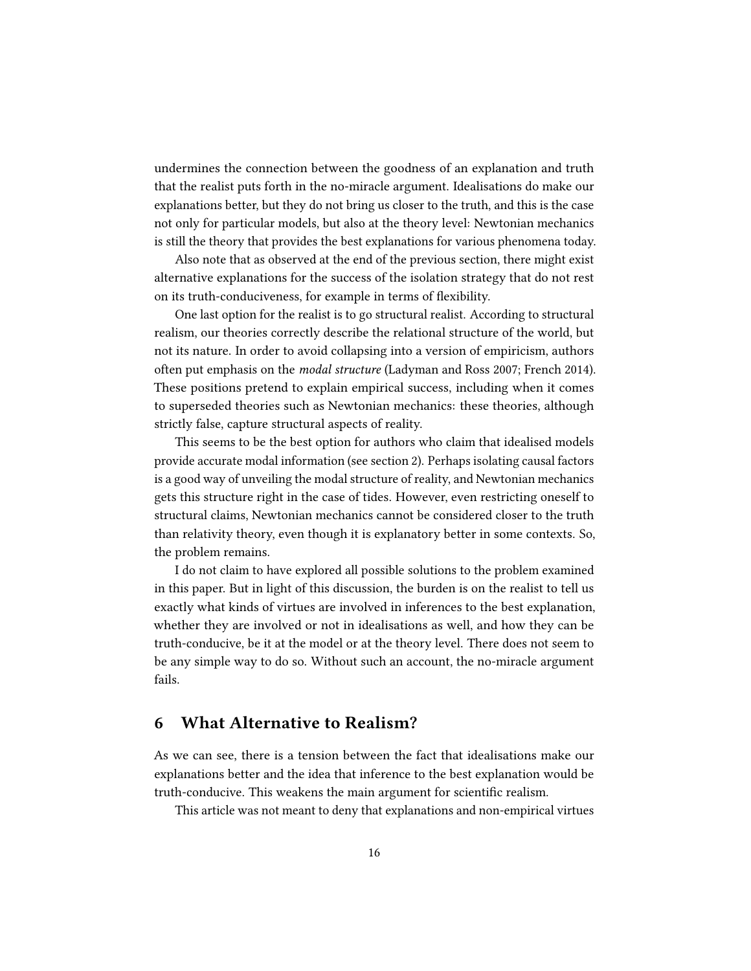undermines the connection between the goodness of an explanation and truth that the realist puts forth in the no-miracle argument. Idealisations do make our explanations better, but they do not bring us closer to the truth, and this is the case not only for particular models, but also at the theory level: Newtonian mechanics is still the theory that provides the best explanations for various phenomena today.

Also note that as observed at the end of the previous section, there might exist alternative explanations for the success of the isolation strategy that do not rest on its truth-conduciveness, for example in terms of flexibility.

One last option for the realist is to go structural realist. According to structural realism, our theories correctly describe the relational structure of the world, but not its nature. In order to avoid collapsing into a version of empiricism, authors often put emphasis on the modal structure (Ladyman and Ross 2007; French 2014). These positions pretend to explain empirical success, including when it comes to superseded theories such as Newtonian mechanics: these theories, although strictly false, capture structural aspects of reality.

This seems to be the best option for authors who claim that idealised models provide accurate modal information (see section 2). Perhaps isolating causal factors is a good way of unveiling the modal structure of reality, and Newtonian mechanics gets this structure right in the case of tides. However, even restricting oneself to structural claims, Newtonian mechanics cannot be considered closer to the truth than relativity theory, even though it is explanatory better in some contexts. So, the problem remains.

I do not claim to have explored all possible solutions to the problem examined in this paper. But in light of this discussion, the burden is on the realist to tell us exactly what kinds of virtues are involved in inferences to the best explanation, whether they are involved or not in idealisations as well, and how they can be truth-conducive, be it at the model or at the theory level. There does not seem to be any simple way to do so. Without such an account, the no-miracle argument fails.

#### 6 What Alternative to Realism?

As we can see, there is a tension between the fact that idealisations make our explanations better and the idea that inference to the best explanation would be truth-conducive. This weakens the main argument for scientific realism.

This article was not meant to deny that explanations and non-empirical virtues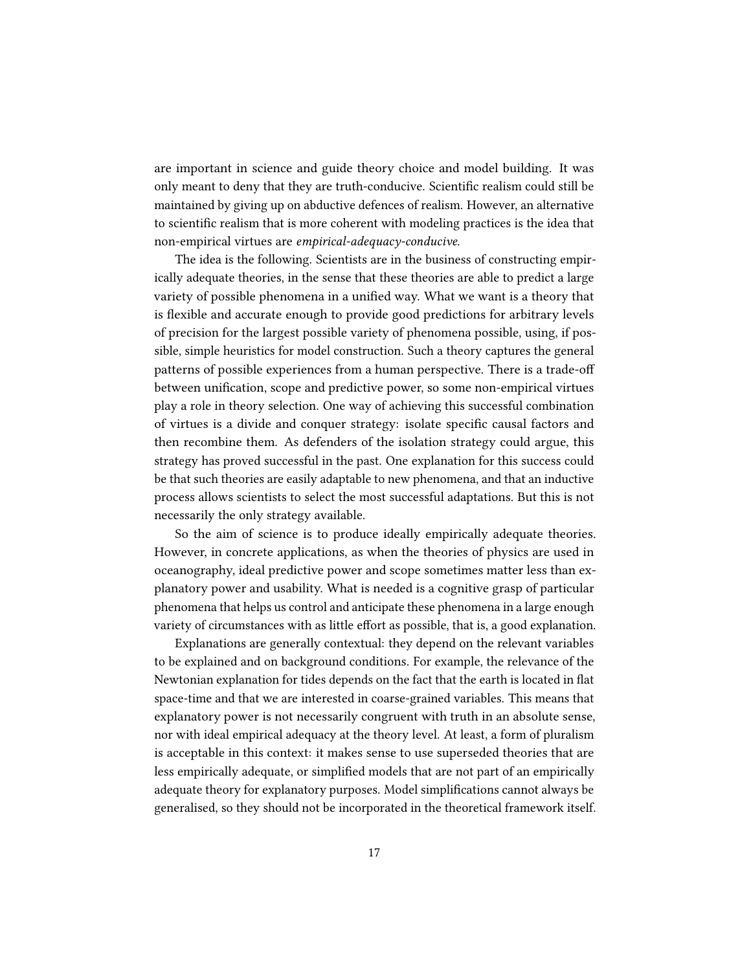are important in science and guide theory choice and model building. It was only meant to deny that they are truth-conducive. Scientific realism could still be maintained by giving up on abductive defences of realism. However, an alternative to scientific realism that is more coherent with modeling practices is the idea that non-empirical virtues are empirical-adequacy-conducive.

The idea is the following. Scientists are in the business of constructing empirically adequate theories, in the sense that these theories are able to predict a large variety of possible phenomena in a unified way. What we want is a theory that is flexible and accurate enough to provide good predictions for arbitrary levels of precision for the largest possible variety of phenomena possible, using, if possible, simple heuristics for model construction. Such a theory captures the general patterns of possible experiences from a human perspective. There is a trade-off between unification, scope and predictive power, so some non-empirical virtues play a role in theory selection. One way of achieving this successful combination of virtues is a divide and conquer strategy: isolate specific causal factors and then recombine them. As defenders of the isolation strategy could argue, this strategy has proved successful in the past. One explanation for this success could be that such theories are easily adaptable to new phenomena, and that an inductive process allows scientists to select the most successful adaptations. But this is not necessarily the only strategy available.

So the aim of science is to produce ideally empirically adequate theories. However, in concrete applications, as when the theories of physics are used in oceanography, ideal predictive power and scope sometimes matter less than explanatory power and usability. What is needed is a cognitive grasp of particular phenomena that helps us control and anticipate these phenomena in a large enough variety of circumstances with as little effort as possible, that is, a good explanation.

Explanations are generally contextual: they depend on the relevant variables to be explained and on background conditions. For example, the relevance of the Newtonian explanation for tides depends on the fact that the earth is located in flat space-time and that we are interested in coarse-grained variables. This means that explanatory power is not necessarily congruent with truth in an absolute sense, nor with ideal empirical adequacy at the theory level. At least, a form of pluralism is acceptable in this context: it makes sense to use superseded theories that are less empirically adequate, or simplified models that are not part of an empirically adequate theory for explanatory purposes. Model simplifications cannot always be generalised, so they should not be incorporated in the theoretical framework itself.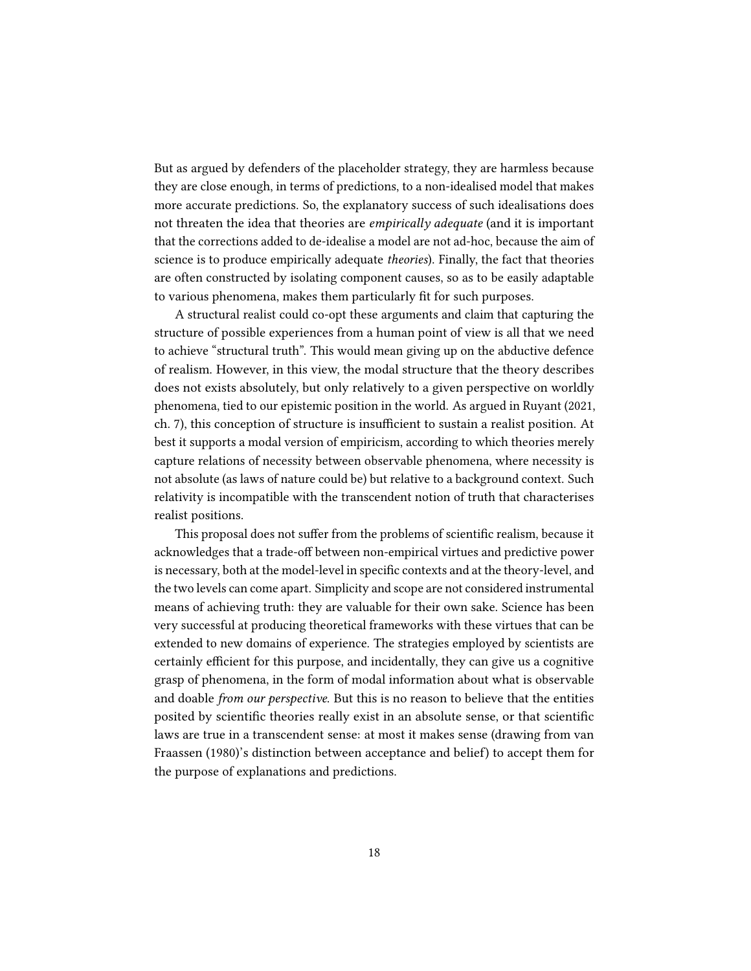But as argued by defenders of the placeholder strategy, they are harmless because they are close enough, in terms of predictions, to a non-idealised model that makes more accurate predictions. So, the explanatory success of such idealisations does not threaten the idea that theories are *empirically adequate* (and it is important that the corrections added to de-idealise a model are not ad-hoc, because the aim of science is to produce empirically adequate theories). Finally, the fact that theories are often constructed by isolating component causes, so as to be easily adaptable to various phenomena, makes them particularly fit for such purposes.

A structural realist could co-opt these arguments and claim that capturing the structure of possible experiences from a human point of view is all that we need to achieve "structural truth". This would mean giving up on the abductive defence of realism. However, in this view, the modal structure that the theory describes does not exists absolutely, but only relatively to a given perspective on worldly phenomena, tied to our epistemic position in the world. As argued in Ruyant (2021, ch. 7), this conception of structure is insufficient to sustain a realist position. At best it supports a modal version of empiricism, according to which theories merely capture relations of necessity between observable phenomena, where necessity is not absolute (as laws of nature could be) but relative to a background context. Such relativity is incompatible with the transcendent notion of truth that characterises realist positions.

This proposal does not suffer from the problems of scientific realism, because it acknowledges that a trade-off between non-empirical virtues and predictive power is necessary, both at the model-level in specific contexts and at the theory-level, and the two levels can come apart. Simplicity and scope are not considered instrumental means of achieving truth: they are valuable for their own sake. Science has been very successful at producing theoretical frameworks with these virtues that can be extended to new domains of experience. The strategies employed by scientists are certainly efficient for this purpose, and incidentally, they can give us a cognitive grasp of phenomena, in the form of modal information about what is observable and doable *from our perspective*. But this is no reason to believe that the entities posited by scientific theories really exist in an absolute sense, or that scientific laws are true in a transcendent sense: at most it makes sense (drawing from van Fraassen (1980)'s distinction between acceptance and belief) to accept them for the purpose of explanations and predictions.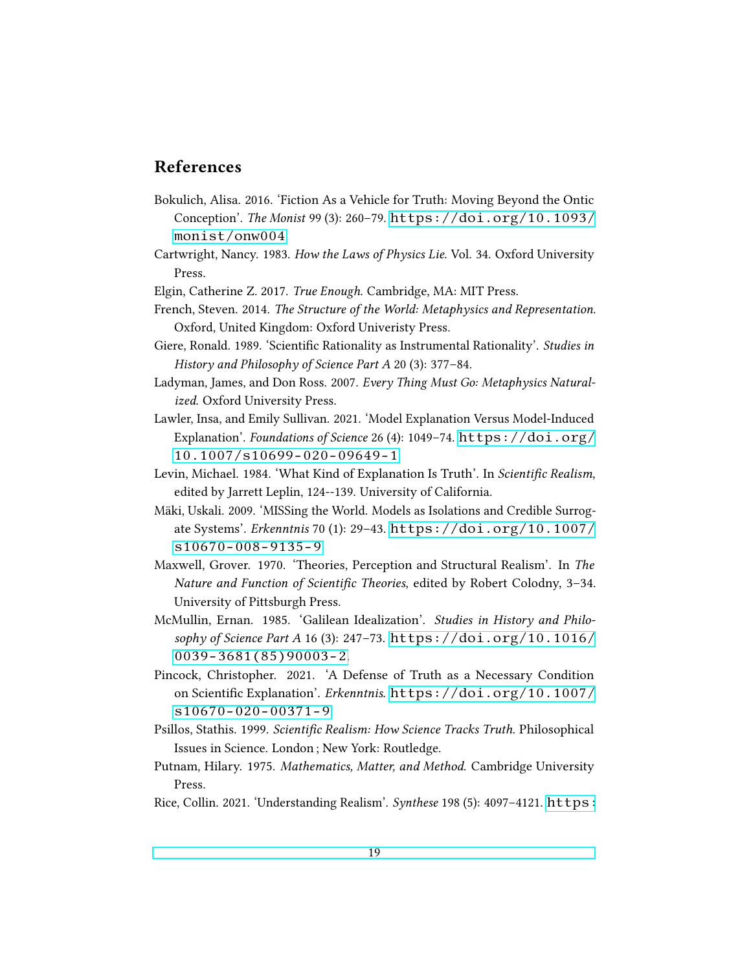## References

- Bokulich, Alisa. 2016. 'Fiction As a Vehicle for Truth: Moving Beyond the Ontic Conception'. The Monist 99 (3): 260–79. [https://doi.org/10.1093/](https://doi.org/10.1093/monist/onw004) [monist/onw004](https://doi.org/10.1093/monist/onw004).
- Cartwright, Nancy. 1983. How the Laws of Physics Lie. Vol. 34. Oxford University Press.
- Elgin, Catherine Z. 2017. True Enough. Cambridge, MA: MIT Press.
- French, Steven. 2014. The Structure of the World: Metaphysics and Representation. Oxford, United Kingdom: Oxford Univeristy Press.
- Giere, Ronald. 1989. 'Scientific Rationality as Instrumental Rationality'. Studies in History and Philosophy of Science Part A 20 (3): 377–84.
- Ladyman, James, and Don Ross. 2007. Every Thing Must Go: Metaphysics Naturalized. Oxford University Press.
- Lawler, Insa, and Emily Sullivan. 2021. 'Model Explanation Versus Model-Induced Explanation'. Foundations of Science 26 (4): 1049-74. [https://doi.org/](https://doi.org/10.1007/s10699-020-09649-1) [10.1007/s10699-020-09649-1](https://doi.org/10.1007/s10699-020-09649-1).
- Levin, Michael. 1984. 'What Kind of Explanation Is Truth'. In Scientific Realism, edited by Jarrett Leplin, 124--139. University of California.
- Mäki, Uskali. 2009. 'MISSing the World. Models as Isolations and Credible Surrogate Systems'. Erkenntnis 70 (1): 29–43. [https://doi.org/10.1007/](https://doi.org/10.1007/s10670-008-9135-9) [s10670-008-9135-9](https://doi.org/10.1007/s10670-008-9135-9).
- Maxwell, Grover. 1970. 'Theories, Perception and Structural Realism'. In The Nature and Function of Scientific Theories, edited by Robert Colodny, 3–34. University of Pittsburgh Press.
- McMullin, Ernan. 1985. 'Galilean Idealization'. Studies in History and Philosophy of Science Part A 16 (3): 247–73. [https://doi.org/10.1016/](https://doi.org/10.1016/0039-3681(85)90003-2) [0039-3681\(85\)90003-2](https://doi.org/10.1016/0039-3681(85)90003-2).
- Pincock, Christopher. 2021. 'A Defense of Truth as a Necessary Condition on Scientific Explanation'. Erkenntnis. [https://doi.org/10.1007/](https://doi.org/10.1007/s10670-020-00371-9) [s10670-020-00371-9](https://doi.org/10.1007/s10670-020-00371-9).
- Psillos, Stathis. 1999. Scientific Realism: How Science Tracks Truth. Philosophical Issues in Science. London ; New York: Routledge.
- Putnam, Hilary. 1975. Mathematics, Matter, and Method. Cambridge University Press.
- Rice, Collin. 2021. 'Understanding Realism'. Synthese 198 (5): 4097-4121. [https:](https://doi.org/10.1007/s11229-019-02331-5)